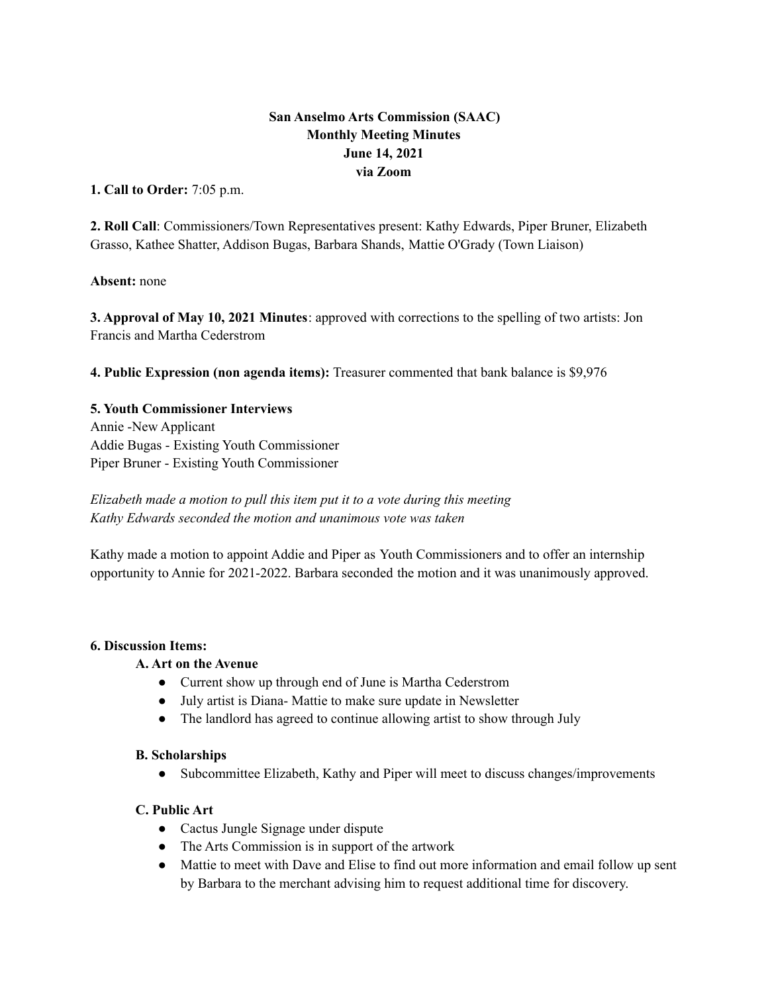# **San Anselmo Arts Commission (SAAC) Monthly Meeting Minutes June 14, 2021 via Zoom**

**1. Call to Order:** 7:05 p.m.

**2. Roll Call**: Commissioners/Town Representatives present: Kathy Edwards, Piper Bruner, Elizabeth Grasso, Kathee Shatter, Addison Bugas, Barbara Shands, Mattie O'Grady (Town Liaison)

**Absent:** none

**3. Approval of May 10, 2021 Minutes**: approved with corrections to the spelling of two artists: Jon Francis and Martha Cederstrom

**4. Public Expression (non agenda items):** Treasurer commented that bank balance is \$9,976

### **5. Youth Commissioner Interviews**

Annie -New Applicant Addie Bugas - Existing Youth Commissioner Piper Bruner - Existing Youth Commissioner

*Elizabeth made a motion to pull this item put it to a vote during this meeting Kathy Edwards seconded the motion and unanimous vote was taken*

Kathy made a motion to appoint Addie and Piper as Youth Commissioners and to offer an internship opportunity to Annie for 2021-2022. Barbara seconded the motion and it was unanimously approved.

#### **6. Discussion Items:**

## **A. Art on the Avenue**

- Current show up through end of June is Martha Cederstrom
- July artist is Diana- Mattie to make sure update in Newsletter
- The landlord has agreed to continue allowing artist to show through July

#### **B. Scholarships**

• Subcommittee Elizabeth, Kathy and Piper will meet to discuss changes/improvements

## **C. Public Art**

- Cactus Jungle Signage under dispute
- The Arts Commission is in support of the artwork
- Mattie to meet with Dave and Elise to find out more information and email follow up sent by Barbara to the merchant advising him to request additional time for discovery.